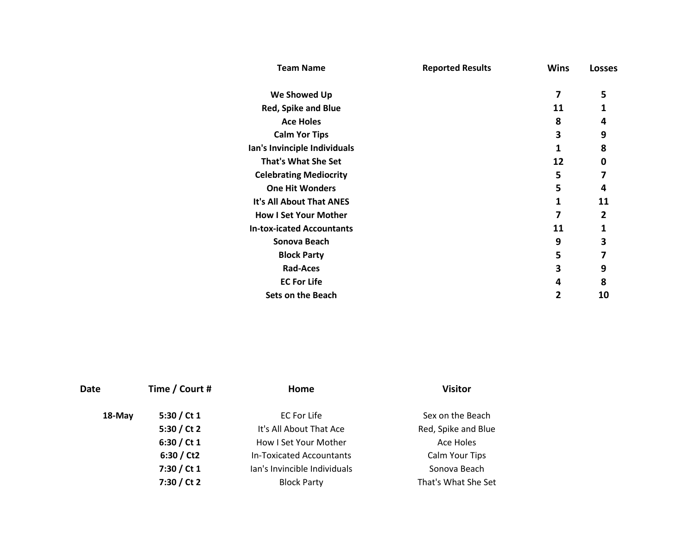| <b>Team Name</b>                 | <b>Reported Results</b> | <b>Wins</b> | <b>Losses</b> |  |
|----------------------------------|-------------------------|-------------|---------------|--|
| We Showed Up                     |                         | 7           | 5             |  |
| <b>Red, Spike and Blue</b>       |                         | 11          | 1             |  |
| <b>Ace Holes</b>                 |                         | 8           | 4             |  |
| <b>Calm Yor Tips</b>             |                         | 3           | 9             |  |
| Ian's Invinciple Individuals     |                         | 1           | 8             |  |
| <b>That's What She Set</b>       |                         | 12          | 0             |  |
| <b>Celebrating Mediocrity</b>    |                         | 5           | 7             |  |
| <b>One Hit Wonders</b>           |                         | 5           | 4             |  |
| It's All About That ANES         |                         | 1           | 11            |  |
| <b>How I Set Your Mother</b>     |                         |             | 2             |  |
| <b>In-tox-icated Accountants</b> |                         | 11          | 1             |  |
| Sonova Beach                     |                         | 9           | 3             |  |
| <b>Block Party</b>               |                         | 5           | 7             |  |
| <b>Rad-Aces</b>                  |                         | 3           | 9             |  |
| <b>EC For Life</b>               |                         | 4           | 8             |  |
| <b>Sets on the Beach</b>         |                         | 2           | 10            |  |

| Date   | Time / Court # | Home                         | <b>Visitor</b>      |
|--------|----------------|------------------------------|---------------------|
| 18-May | 5:30 / Ct $1$  | EC For Life                  | Sex on the Beach    |
|        | 5:30 / Ct 2    | It's All About That Ace      | Red, Spike and Blue |
|        | 6:30 / Ct $1$  | How I Set Your Mother        | Ace Holes           |
|        | 6:30 / Ct2     | In-Toxicated Accountants     | Calm Your Tips      |
|        | 7:30 / Ct 1    | Ian's Invincible Individuals | Sonova Beach        |
|        | 7:30 / Ct 2    | <b>Block Party</b>           | That's What She Set |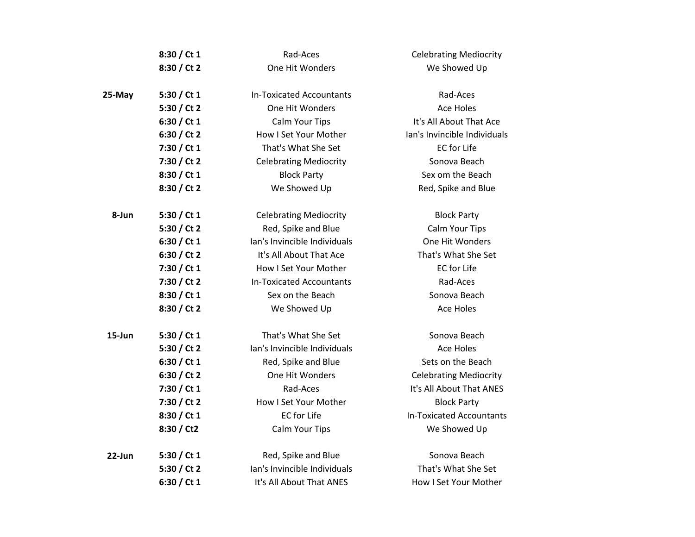|           | 8:30 / Ct 1   | Rad-Aces                        | <b>Celebrating Mediocrity</b>   |
|-----------|---------------|---------------------------------|---------------------------------|
|           | 8:30 / Ct 2   | One Hit Wonders                 | We Showed Up                    |
|           |               |                                 |                                 |
| 25-May    | 5:30 / Ct 1   | <b>In-Toxicated Accountants</b> | Rad-Aces                        |
|           | 5:30 / Ct 2   | One Hit Wonders                 | <b>Ace Holes</b>                |
|           | 6:30 / Ct 1   | Calm Your Tips                  | It's All About That Ace         |
|           | 6:30 / Ct 2   | How I Set Your Mother           | lan's Invincible Individuals    |
|           | 7:30 / Ct 1   | That's What She Set             | <b>EC</b> for Life              |
|           | 7:30 / Ct 2   | <b>Celebrating Mediocrity</b>   | Sonova Beach                    |
|           | 8:30 / Ct 1   | <b>Block Party</b>              | Sex om the Beach                |
|           | 8:30 / Ct 2   | We Showed Up                    | Red, Spike and Blue             |
| 8-Jun     | 5:30 / Ct $1$ | <b>Celebrating Mediocrity</b>   | <b>Block Party</b>              |
|           | 5:30 / Ct 2   | Red, Spike and Blue             | Calm Your Tips                  |
|           | 6:30 / Ct $1$ | Ian's Invincible Individuals    | One Hit Wonders                 |
|           | 6:30 / Ct 2   | It's All About That Ace         | That's What She Set             |
|           | 7:30 / Ct 1   | How I Set Your Mother           | <b>EC</b> for Life              |
|           | 7:30 / Ct 2   | <b>In-Toxicated Accountants</b> | Rad-Aces                        |
|           | 8:30 / Ct 1   | Sex on the Beach                | Sonova Beach                    |
|           | 8:30 / Ct 2   | We Showed Up                    | <b>Ace Holes</b>                |
| 15-Jun    | 5:30 / Ct $1$ | That's What She Set             | Sonova Beach                    |
|           | 5:30 / Ct 2   | lan's Invincible Individuals    | <b>Ace Holes</b>                |
|           | 6:30 / Ct 1   | Red, Spike and Blue             | Sets on the Beach               |
|           | 6:30 / Ct 2   | One Hit Wonders                 | <b>Celebrating Mediocrity</b>   |
|           | 7:30 / Ct 1   | Rad-Aces                        | It's All About That ANES        |
|           | 7:30 / Ct 2   | How I Set Your Mother           | <b>Block Party</b>              |
|           | 8:30 / Ct 1   | <b>EC</b> for Life              | <b>In-Toxicated Accountants</b> |
|           | 8:30 / Ct2    | Calm Your Tips                  | We Showed Up                    |
| $22$ -Jun | 5:30 / Ct $1$ | Red, Spike and Blue             | Sonova Beach                    |
|           | 5:30 / Ct 2   | lan's Invincible Individuals    | That's What She Set             |
|           | 6:30 / Ct 1   | It's All About That ANES        | How I Set Your Mother           |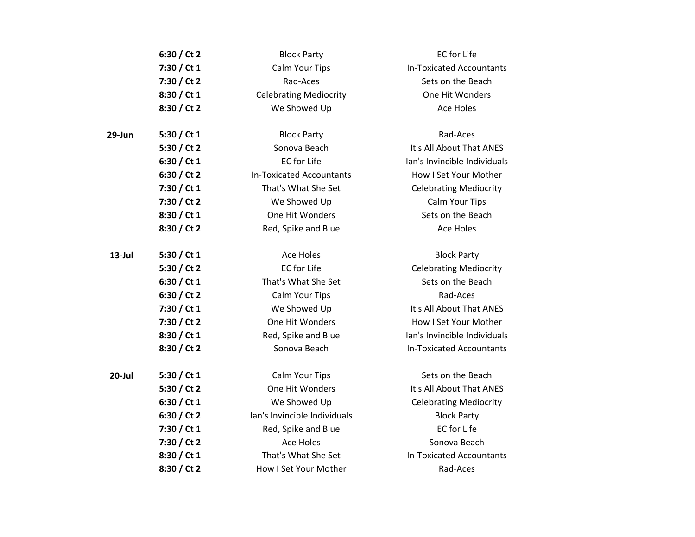|           | 6:30 / Ct 2   | <b>Block Party</b>              | <b>EC</b> for Life              |
|-----------|---------------|---------------------------------|---------------------------------|
|           | 7:30 / Ct 1   | Calm Your Tips                  | <b>In-Toxicated Accountants</b> |
|           | 7:30 / Ct 2   | Rad-Aces                        | Sets on the Beach               |
|           | 8:30 / Ct 1   | <b>Celebrating Mediocrity</b>   | One Hit Wonders                 |
|           | 8:30 / Ct 2   | We Showed Up                    | <b>Ace Holes</b>                |
| $29$ -Jun | 5:30 / Ct 1   | <b>Block Party</b>              | Rad-Aces                        |
|           | 5:30 / Ct 2   | Sonova Beach                    | It's All About That ANES        |
|           | 6:30 / Ct 1   | <b>EC</b> for Life              | lan's Invincible Individuals    |
|           | 6:30 / Ct 2   | <b>In-Toxicated Accountants</b> | How I Set Your Mother           |
|           | 7:30 / Ct 1   | That's What She Set             | <b>Celebrating Mediocrity</b>   |
|           | 7:30 / Ct 2   | We Showed Up                    | Calm Your Tips                  |
|           | 8:30 / Ct 1   | One Hit Wonders                 | Sets on the Beach               |
|           | 8:30 / Ct 2   | Red, Spike and Blue             | <b>Ace Holes</b>                |
| $13$ -Jul | 5:30 / Ct $1$ | Ace Holes                       | <b>Block Party</b>              |
|           | 5:30 / Ct 2   | <b>EC</b> for Life              | <b>Celebrating Mediocrity</b>   |
|           | 6:30 / Ct 1   | That's What She Set             | Sets on the Beach               |
|           | 6:30 / Ct 2   | Calm Your Tips                  | Rad-Aces                        |
|           | 7:30 / Ct 1   | We Showed Up                    | It's All About That ANES        |
|           | 7:30 / Ct 2   | One Hit Wonders                 | How I Set Your Mother           |
|           | 8:30 / Ct 1   | Red, Spike and Blue             | lan's Invincible Individuals    |
|           | 8:30 / Ct 2   | Sonova Beach                    | <b>In-Toxicated Accountants</b> |
| 20-Jul    | 5:30 / Ct 1   | Calm Your Tips                  | Sets on the Beach               |
|           | 5:30 / Ct 2   | One Hit Wonders                 | It's All About That ANES        |
|           | 6:30 / Ct 1   | We Showed Up                    | <b>Celebrating Mediocrity</b>   |
|           | 6:30 / Ct 2   | Ian's Invincible Individuals    | <b>Block Party</b>              |
|           | 7:30 / Ct 1   | Red, Spike and Blue             | <b>EC</b> for Life              |
|           | 7:30 / Ct 2   | <b>Ace Holes</b>                | Sonova Beach                    |
|           | 8:30 / Ct 1   | That's What She Set             | <b>In-Toxicated Accountants</b> |
|           | 8:30 / Ct 2   | How I Set Your Mother           | Rad-Aces                        |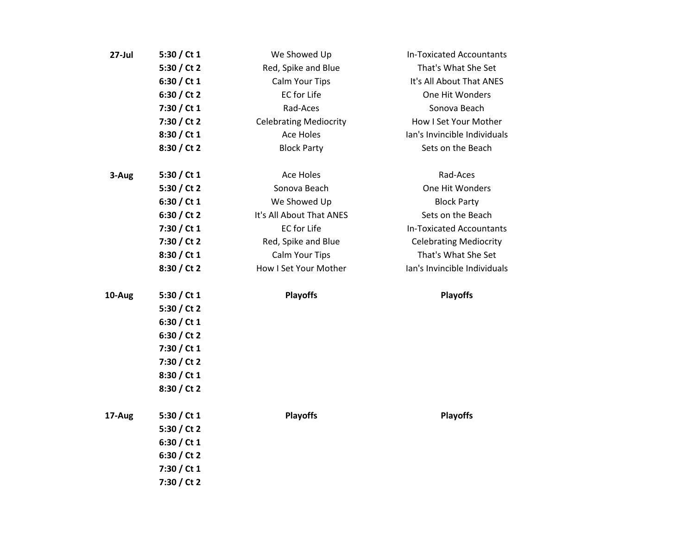| $27$ -Jul | 5:30 / Ct $1$ | We Showed Up                  | <b>In-Toxicated Accountants</b> |
|-----------|---------------|-------------------------------|---------------------------------|
|           | 5:30 / Ct 2   | Red, Spike and Blue           | That's What She Set             |
|           | 6:30 / Ct 1   | Calm Your Tips                | It's All About That ANES        |
|           | 6:30 / Ct 2   | <b>EC</b> for Life            | One Hit Wonders                 |
|           | 7:30 / Ct 1   | Rad-Aces                      | Sonova Beach                    |
|           | 7:30 / Ct 2   | <b>Celebrating Mediocrity</b> | How I Set Your Mother           |
|           | 8:30 / Ct 1   | <b>Ace Holes</b>              | lan's Invincible Individuals    |
|           | 8:30 / Ct 2   | <b>Block Party</b>            | Sets on the Beach               |
| 3-Aug     | 5:30 / Ct $1$ | <b>Ace Holes</b>              | Rad-Aces                        |
|           | 5:30 / Ct 2   | Sonova Beach                  | One Hit Wonders                 |
|           | 6:30 / Ct $1$ | We Showed Up                  | <b>Block Party</b>              |
|           | 6:30 / Ct 2   | It's All About That ANES      | Sets on the Beach               |
|           | 7:30 / Ct 1   | <b>EC</b> for Life            | <b>In-Toxicated Accountants</b> |
|           | 7:30 / Ct 2   | Red, Spike and Blue           | <b>Celebrating Mediocrity</b>   |
|           | 8:30 / Ct 1   | Calm Your Tips                | That's What She Set             |
|           | 8:30 / Ct 2   | How I Set Your Mother         | Ian's Invincible Individuals    |
| 10-Aug    | 5:30 / Ct 1   | <b>Playoffs</b>               | <b>Playoffs</b>                 |
|           | 5:30 / Ct 2   |                               |                                 |
|           | 6:30 / Ct 1   |                               |                                 |
|           | 6:30 / Ct 2   |                               |                                 |
|           | 7:30 / Ct 1   |                               |                                 |
|           | 7:30 / Ct 2   |                               |                                 |
|           | 8:30 / Ct 1   |                               |                                 |
|           | 8:30 / Ct 2   |                               |                                 |
| 17-Aug    | 5:30 / Ct $1$ | <b>Playoffs</b>               | <b>Playoffs</b>                 |
|           | 5:30 / Ct 2   |                               |                                 |
|           | 6:30 / Ct $1$ |                               |                                 |
|           | 6:30 / Ct 2   |                               |                                 |
|           | 7:30 / Ct 1   |                               |                                 |
|           | 7:30 / Ct 2   |                               |                                 |